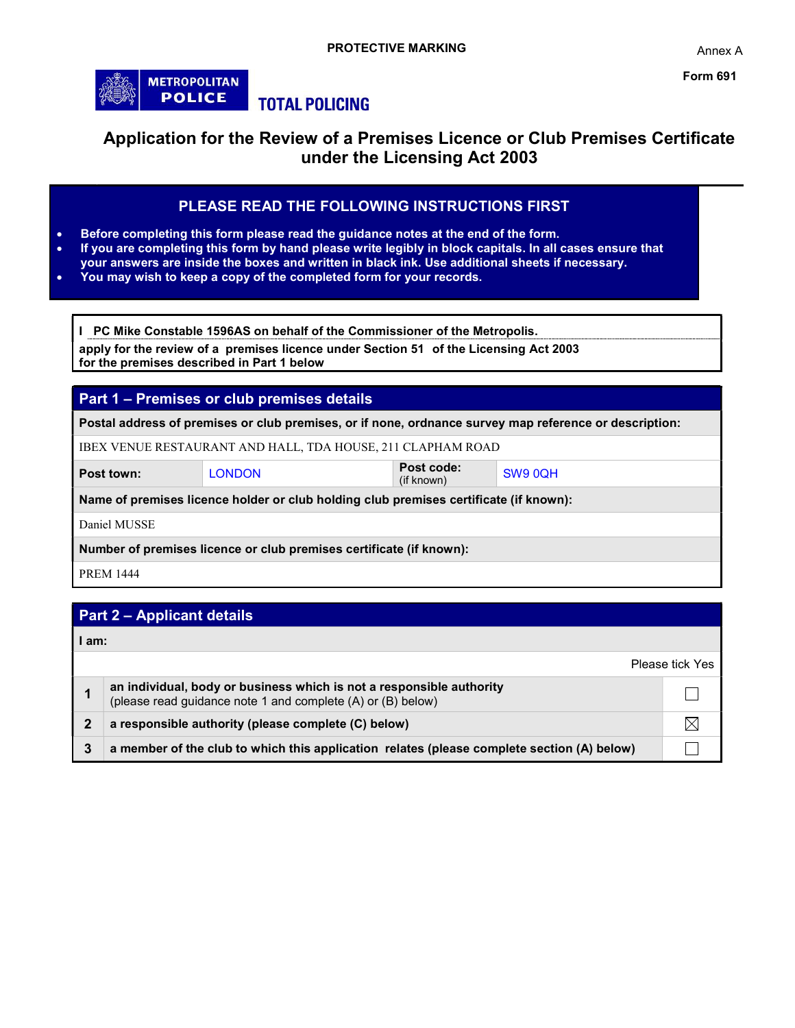

# Application for the Review of a Premises Licence or Club Premises Certificate under the Licensing Act 2003

# PLEASE READ THE FOLLOWING INSTRUCTIONS FIRST

- Before completing this form please read the guidance notes at the end of the form.
- If you are completing this form by hand please write legibly in block capitals. In all cases ensure that your answers are inside the boxes and written in black ink. Use additional sheets if necessary.
- You may wish to keep a copy of the completed form for your records.

I PC Mike Constable 1596AS on behalf of the Commissioner of the Metropolis.

apply for the review of a premises licence under Section 51 of the Licensing Act 2003 for the premises described in Part 1 below

# Part 1 – Premises or club premises details Postal address of premises or club premises, or if none, ordnance survey map reference or description: IBEX VENUE RESTAURANT AND HALL, TDA HOUSE, 211 CLAPHAM ROAD Post town: LONDON Post code:<br>
LONDON (if known) SW9 0QH Name of premises licence holder or club holding club premises certificate (if known): Daniel MUSSE Number of premises licence or club premises certificate (if known): PREM 1444

# Part 2 – Applicant details

|   | am:                                                                                                                                 |                 |  |  |  |  |
|---|-------------------------------------------------------------------------------------------------------------------------------------|-----------------|--|--|--|--|
|   |                                                                                                                                     | Please tick Yes |  |  |  |  |
|   | an individual, body or business which is not a responsible authority<br>(please read guidance note 1 and complete (A) or (B) below) |                 |  |  |  |  |
| 2 | a responsible authority (please complete (C) below)                                                                                 |                 |  |  |  |  |
| 3 | a member of the club to which this application relates (please complete section (A) below)                                          |                 |  |  |  |  |

Annex A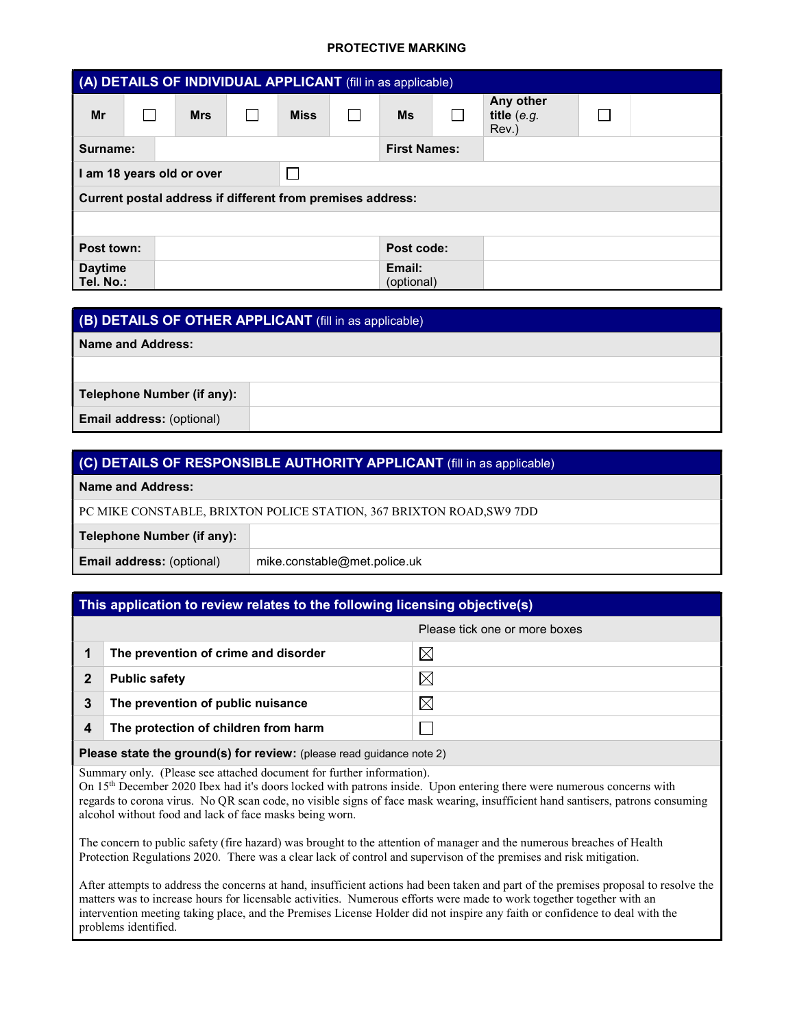|                             | (A) DETAILS OF INDIVIDUAL APPLICANT (fill in as applicable) |             |                      |                                     |  |
|-----------------------------|-------------------------------------------------------------|-------------|----------------------|-------------------------------------|--|
| Mr                          | <b>Mrs</b>                                                  | <b>Miss</b> | <b>Ms</b>            | Any other<br>title $(e.g.$<br>Rev.) |  |
| Surname:                    |                                                             |             | <b>First Names:</b>  |                                     |  |
|                             | I am 18 years old or over                                   |             |                      |                                     |  |
|                             | Current postal address if different from premises address:  |             |                      |                                     |  |
|                             |                                                             |             |                      |                                     |  |
| Post town:                  |                                                             |             | Post code:           |                                     |  |
| <b>Daytime</b><br>Tel. No.: |                                                             |             | Email:<br>(optional) |                                     |  |

| (B) DETAILS OF OTHER APPLICANT (fill in as applicable) |  |  |  |  |  |
|--------------------------------------------------------|--|--|--|--|--|
| Name and Address:                                      |  |  |  |  |  |
|                                                        |  |  |  |  |  |
| Telephone Number (if any):                             |  |  |  |  |  |
| <b>Email address: (optional)</b>                       |  |  |  |  |  |

| (C) DETAILS OF RESPONSIBLE AUTHORITY APPLICANT (fill in as applicable) |                              |  |  |  |  |
|------------------------------------------------------------------------|------------------------------|--|--|--|--|
| Name and Address:                                                      |                              |  |  |  |  |
| PC MIKE CONSTABLE, BRIXTON POLICE STATION, 367 BRIXTON ROAD, SW9 7DD   |                              |  |  |  |  |
| Telephone Number (if any):                                             |                              |  |  |  |  |
| <b>Email address: (optional)</b>                                       | mike.constable@met.police.uk |  |  |  |  |

### This application to review relates to the following licensing objective(s)

|   |                                      | Please tick one or more boxes |
|---|--------------------------------------|-------------------------------|
|   | The prevention of crime and disorder | $\boxtimes$                   |
|   | <b>Public safety</b>                 | $\boxtimes$                   |
| 3 | The prevention of public nuisance    | $\times$                      |
| 4 | The protection of children from harm |                               |
|   |                                      |                               |

Please state the ground(s) for review: (please read guidance note 2)

Summary only. (Please see attached document for further information).

On 15<sup>th</sup> December 2020 Ibex had it's doors locked with patrons inside. Upon entering there were numerous concerns with regards to corona virus. No QR scan code, no visible signs of face mask wearing, insufficient hand santisers, patrons consuming alcohol without food and lack of face masks being worn.

The concern to public safety (fire hazard) was brought to the attention of manager and the numerous breaches of Health Protection Regulations 2020. There was a clear lack of control and supervison of the premises and risk mitigation.

After attempts to address the concerns at hand, insufficient actions had been taken and part of the premises proposal to resolve the matters was to increase hours for licensable activities. Numerous efforts were made to work together together with an intervention meeting taking place, and the Premises License Holder did not inspire any faith or confidence to deal with the problems identified.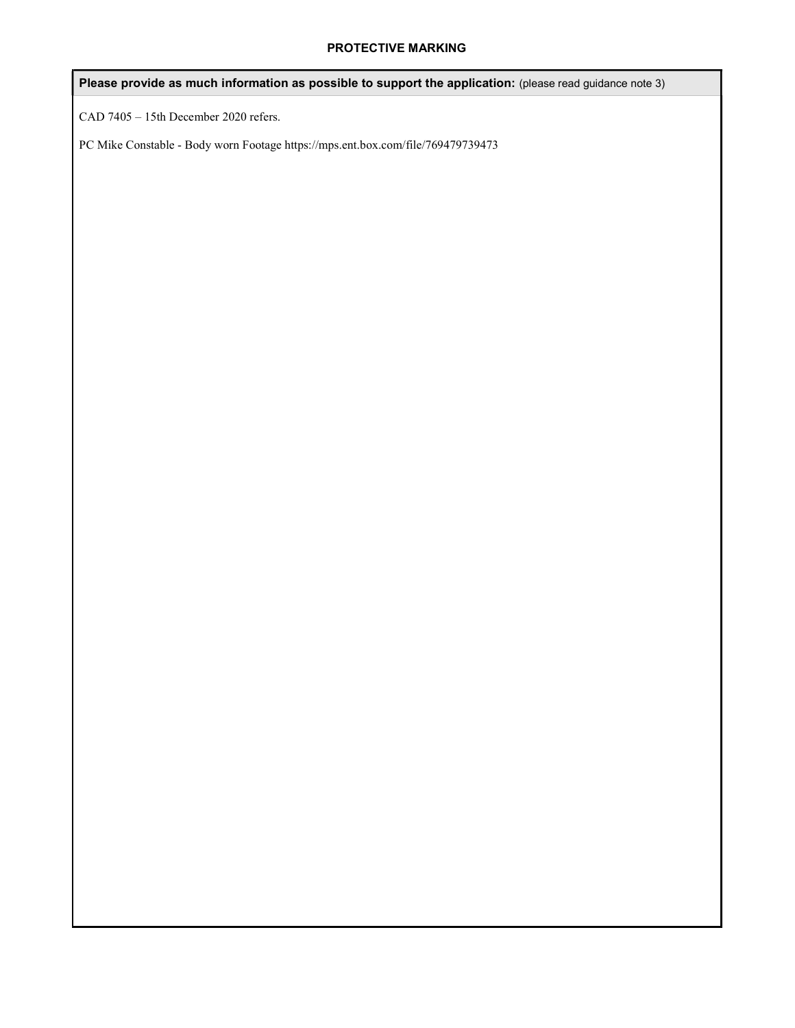Please provide as much information as possible to support the application: (please read guidance note 3)

CAD 7405 – 15th December 2020 refers.

PC Mike Constable - Body worn Footage https://mps.ent.box.com/file/769479739473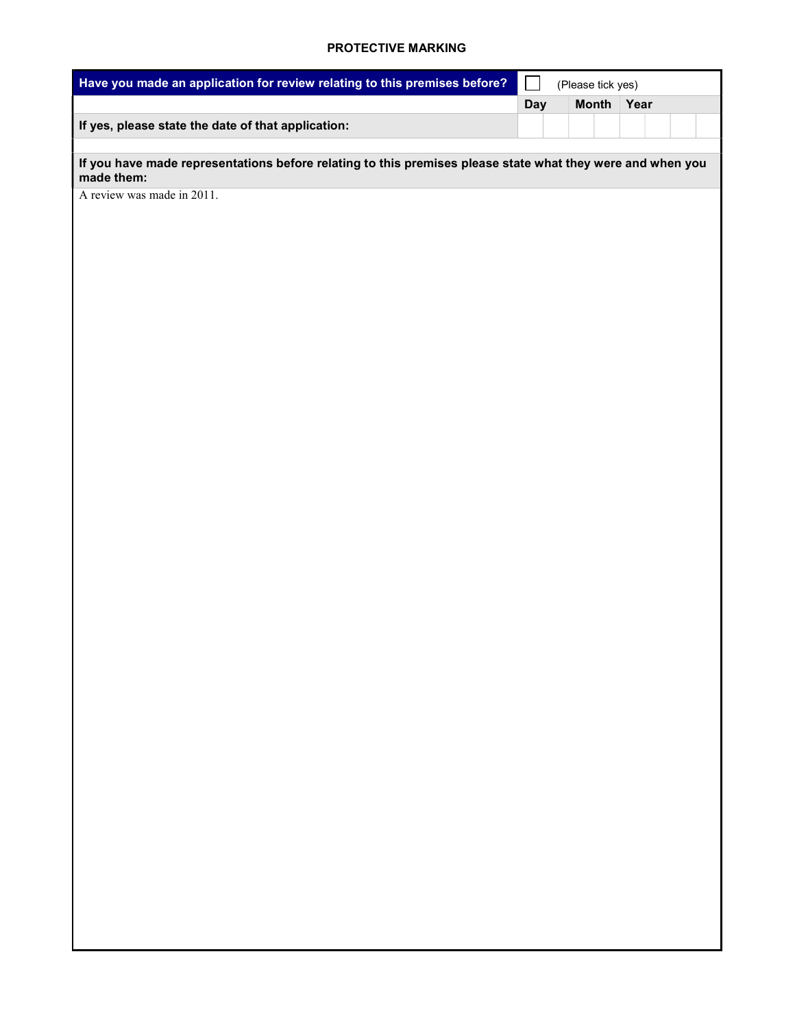| Have you made an application for review relating to this premises before?                                                |            | (Please tick yes) |      |  |
|--------------------------------------------------------------------------------------------------------------------------|------------|-------------------|------|--|
|                                                                                                                          | <b>Day</b> | <b>Month</b>      | Year |  |
| If yes, please state the date of that application:                                                                       |            |                   |      |  |
|                                                                                                                          |            |                   |      |  |
| If you have made representations before relating to this premises please state what they were and when you<br>made them: |            |                   |      |  |
| A review was made in 2011.                                                                                               |            |                   |      |  |
|                                                                                                                          |            |                   |      |  |
|                                                                                                                          |            |                   |      |  |
|                                                                                                                          |            |                   |      |  |
|                                                                                                                          |            |                   |      |  |
|                                                                                                                          |            |                   |      |  |
|                                                                                                                          |            |                   |      |  |
|                                                                                                                          |            |                   |      |  |
|                                                                                                                          |            |                   |      |  |
|                                                                                                                          |            |                   |      |  |
|                                                                                                                          |            |                   |      |  |
|                                                                                                                          |            |                   |      |  |
|                                                                                                                          |            |                   |      |  |
|                                                                                                                          |            |                   |      |  |
|                                                                                                                          |            |                   |      |  |
|                                                                                                                          |            |                   |      |  |
|                                                                                                                          |            |                   |      |  |
|                                                                                                                          |            |                   |      |  |
|                                                                                                                          |            |                   |      |  |
|                                                                                                                          |            |                   |      |  |
|                                                                                                                          |            |                   |      |  |
|                                                                                                                          |            |                   |      |  |
|                                                                                                                          |            |                   |      |  |
|                                                                                                                          |            |                   |      |  |
|                                                                                                                          |            |                   |      |  |
|                                                                                                                          |            |                   |      |  |
|                                                                                                                          |            |                   |      |  |
|                                                                                                                          |            |                   |      |  |
|                                                                                                                          |            |                   |      |  |
|                                                                                                                          |            |                   |      |  |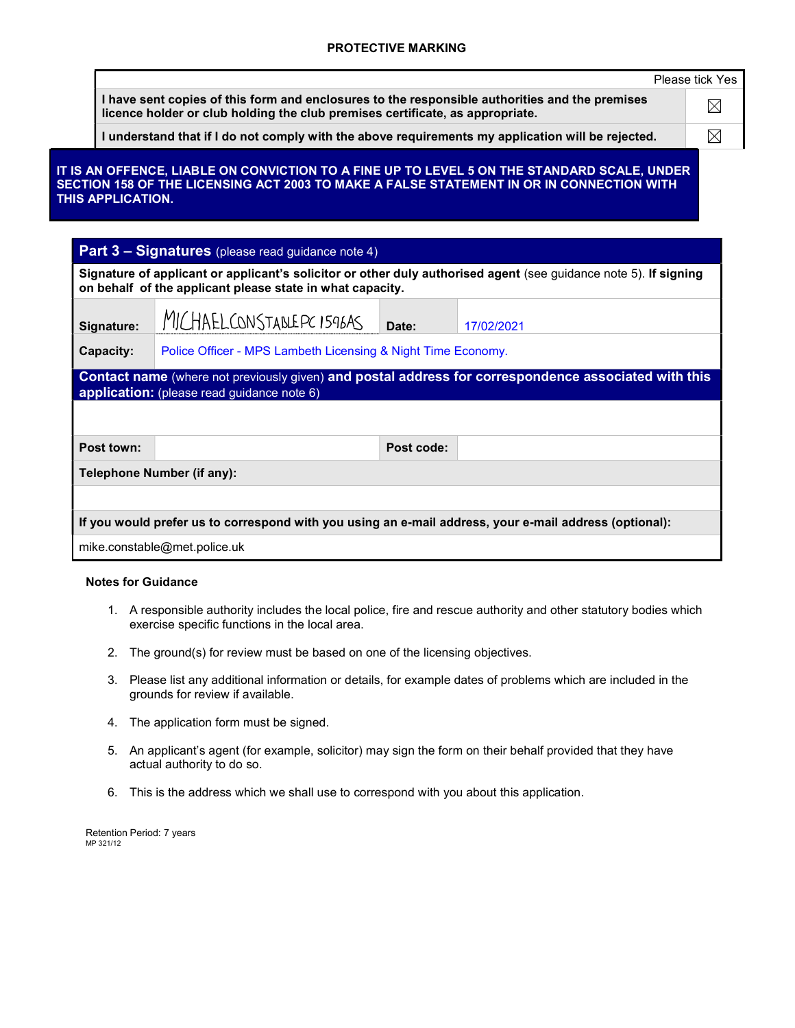|                   |                                                                                                                                                                                 |            |                                                                                                                                                                                         | Please tick Yes |
|-------------------|---------------------------------------------------------------------------------------------------------------------------------------------------------------------------------|------------|-----------------------------------------------------------------------------------------------------------------------------------------------------------------------------------------|-----------------|
|                   | I have sent copies of this form and enclosures to the responsible authorities and the premises<br>licence holder or club holding the club premises certificate, as appropriate. |            |                                                                                                                                                                                         | $\boxtimes$     |
|                   | I understand that if I do not comply with the above requirements my application will be rejected.                                                                               |            |                                                                                                                                                                                         | ⊠               |
| THIS APPLICATION. |                                                                                                                                                                                 |            | IT IS AN OFFENCE, LIABLE ON CONVICTION TO A FINE UP TO LEVEL 5 ON THE STANDARD SCALE, UNDER<br>SECTION 158 OF THE LICENSING ACT 2003 TO MAKE A FALSE STATEMENT IN OR IN CONNECTION WITH |                 |
|                   | <b>Part 3 - Signatures</b> (please read guidance note 4)                                                                                                                        |            |                                                                                                                                                                                         |                 |
|                   | on behalf of the applicant please state in what capacity.                                                                                                                       |            | Signature of applicant or applicant's solicitor or other duly authorised agent (see guidance note 5). If signing                                                                        |                 |
| Signature:        | MICHAEL CONSTABLEPC 1596AS                                                                                                                                                      | Date:      | 17/02/2021                                                                                                                                                                              |                 |
| Capacity:         | Police Officer - MPS Lambeth Licensing & Night Time Economy.                                                                                                                    |            |                                                                                                                                                                                         |                 |
|                   |                                                                                                                                                                                 |            | Contact name (where not previously given) and postal address for correspondence associated with this                                                                                    |                 |
|                   |                                                                                                                                                                                 |            |                                                                                                                                                                                         |                 |
|                   | application: (please read guidance note 6)                                                                                                                                      |            |                                                                                                                                                                                         |                 |
| Post town:        |                                                                                                                                                                                 | Post code: |                                                                                                                                                                                         |                 |

#### Notes for Guidance

- 1. A responsible authority includes the local police, fire and rescue authority and other statutory bodies which exercise specific functions in the local area.
- 2. The ground(s) for review must be based on one of the licensing objectives.
- 3. Please list any additional information or details, for example dates of problems which are included in the grounds for review if available.
- 4. The application form must be signed.
- 5. An applicant's agent (for example, solicitor) may sign the form on their behalf provided that they have actual authority to do so.
- 6. This is the address which we shall use to correspond with you about this application.

Retention Period: 7 years MP 321/12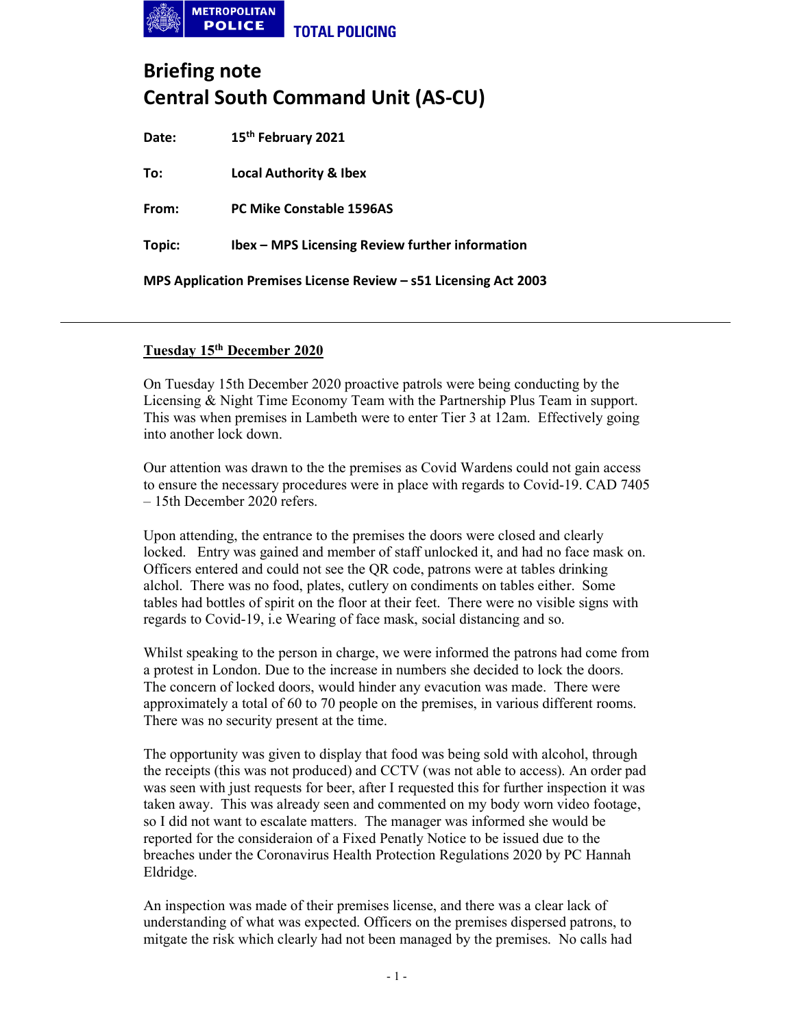

# Briefing note Central South Command Unit (AS-CU)

Date: 15<sup>th</sup> February 2021

To: Local Authority & Ibex

From: PC Mike Constable 1596AS

Topic: Ibex – MPS Licensing Review further information

MPS Application Premises License Review – s51 Licensing Act 2003

## Tuesday 15th December 2020

On Tuesday 15th December 2020 proactive patrols were being conducting by the Licensing & Night Time Economy Team with the Partnership Plus Team in support. This was when premises in Lambeth were to enter Tier 3 at 12am. Effectively going into another lock down.

Our attention was drawn to the the premises as Covid Wardens could not gain access to ensure the necessary procedures were in place with regards to Covid-19. CAD 7405 – 15th December 2020 refers.

Upon attending, the entrance to the premises the doors were closed and clearly locked. Entry was gained and member of staff unlocked it, and had no face mask on. Officers entered and could not see the QR code, patrons were at tables drinking alchol. There was no food, plates, cutlery on condiments on tables either. Some tables had bottles of spirit on the floor at their feet. There were no visible signs with regards to Covid-19, i.e Wearing of face mask, social distancing and so.

Whilst speaking to the person in charge, we were informed the patrons had come from a protest in London. Due to the increase in numbers she decided to lock the doors. The concern of locked doors, would hinder any evacution was made. There were approximately a total of 60 to 70 people on the premises, in various different rooms. There was no security present at the time.

The opportunity was given to display that food was being sold with alcohol, through the receipts (this was not produced) and CCTV (was not able to access). An order pad was seen with just requests for beer, after I requested this for further inspection it was taken away. This was already seen and commented on my body worn video footage, so I did not want to escalate matters. The manager was informed she would be reported for the consideraion of a Fixed Penatly Notice to be issued due to the breaches under the Coronavirus Health Protection Regulations 2020 by PC Hannah Eldridge.

An inspection was made of their premises license, and there was a clear lack of understanding of what was expected. Officers on the premises dispersed patrons, to mitgate the risk which clearly had not been managed by the premises. No calls had